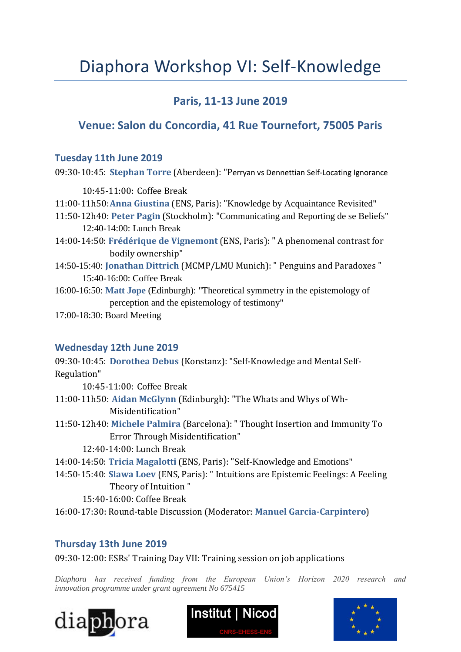# Diaphora Workshop VI: Self-Knowledge

# **Paris, 11-13 June 2019**

## **Venue: Salon du Concordia, 41 Rue Tournefort, 75005 Paris**

## **Tuesday 11th June 2019**

09:30-10:45: **Stephan Torre** (Aberdeen): "Perryan vs Dennettian Self-Locating Ignorance

10:45-11:00: Coffee Break 11:00-11h50:**Anna Giustina** (ENS, Paris): "Knowledge by Acquaintance Revisited" 11:50-12h40: **Peter Pagin** (Stockholm): "Communicating and Reporting de se Beliefs" 12:40-14:00: Lunch Break 14:00-14:50: **Frédérique de Vignemont** (ENS, Paris): " A phenomenal contrast for bodily ownership" 14:50-15:40: **Jonathan Dittrich** (MCMP/LMU Munich): " Penguins and Paradoxes " 15:40-16:00: Coffee Break

16:00-16:50: **Matt Jope** (Edinburgh): "Theoretical symmetry in the epistemology of perception and the epistemology of testimony"

17:00-18:30: Board Meeting

## **Wednesday 12th June 2019**

09:30-10:45: **Dorothea Debus** (Konstanz): "Self-Knowledge and Mental Self-Regulation" 10:45-11:00: Coffee Break 11:00-11h50: **Aidan McGlynn** (Edinburgh): "The Whats and Whys of Wh-Misidentification" 11:50-12h40: **Michele Palmira** (Barcelona): " Thought Insertion and Immunity To Error Through Misidentification" 12:40-14:00: Lunch Break 14:00-14:50: **Tricia Magalotti** (ENS, Paris): "Self-Knowledge and Emotions" 14:50-15:40: **Slawa Loev** (ENS, Paris): " Intuitions are Epistemic Feelings: A Feeling Theory of Intuition " 15:40-16:00: Coffee Break

16:00-17:30: Round-table Discussion (Moderator: **Manuel Garcia-Carpintero**)

## **Thursday 13th June 2019**

09:30-12:00: ESRs' Training Day VII: Training session on job applications

*Diaphora has received funding from the European Union's Horizon 2020 research and innovation programme under grant agreement No 675415*





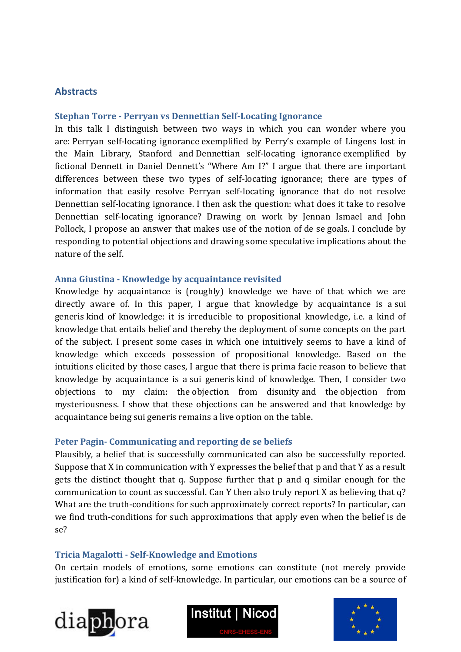### **Abstracts**

#### **Stephan Torre - Perryan vs Dennettian Self-Locating Ignorance**

In this talk I distinguish between two ways in which you can wonder where you are: Perryan self-locating ignorance exemplified by Perry's example of Lingens lost in the Main Library, Stanford and Dennettian self-locating ignorance exemplified by fictional Dennett in Daniel Dennett's "Where Am I?" I argue that there are important differences between these two types of self-locating ignorance; there are types of information that easily resolve Perryan self-locating ignorance that do not resolve Dennettian self-locating ignorance. I then ask the question: what does it take to resolve Dennettian self-locating ignorance? Drawing on work by Jennan Ismael and John Pollock, I propose an answer that makes use of the notion of de se goals. I conclude by responding to potential objections and drawing some speculative implications about the nature of the self.

#### **Anna Giustina - Knowledge by acquaintance revisited**

Knowledge by acquaintance is (roughly) knowledge we have of that which we are directly aware of. In this paper, I argue that knowledge by acquaintance is a sui generis kind of knowledge: it is irreducible to propositional knowledge, i.e. a kind of knowledge that entails belief and thereby the deployment of some concepts on the part of the subject. I present some cases in which one intuitively seems to have a kind of knowledge which exceeds possession of propositional knowledge. Based on the intuitions elicited by those cases, I argue that there is prima facie reason to believe that knowledge by acquaintance is a sui generis kind of knowledge. Then, I consider two objections to my claim: the objection from disunity and the objection from mysteriousness. I show that these objections can be answered and that knowledge by acquaintance being sui generis remains a live option on the table.

#### **Peter Pagin- Communicating and reporting de se beliefs**

Plausibly, a belief that is successfully communicated can also be successfully reported. Suppose that X in communication with Y expresses the belief that p and that Y as a result gets the distinct thought that q. Suppose further that p and q similar enough for the communication to count as successful. Can Y then also truly report X as believing that q? What are the truth-conditions for such approximately correct reports? In particular, can we find truth-conditions for such approximations that apply even when the belief is de se?

#### **Tricia Magalotti - Self-Knowledge and Emotions**

On certain models of emotions, some emotions can constitute (not merely provide justification for) a kind of self-knowledge. In particular, our emotions can be a source of





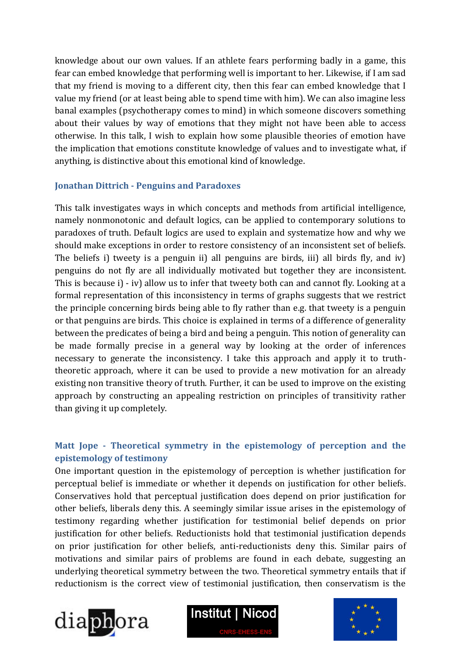knowledge about our own values. If an athlete fears performing badly in a game, this fear can embed knowledge that performing well is important to her. Likewise, if I am sad that my friend is moving to a different city, then this fear can embed knowledge that I value my friend (or at least being able to spend time with him). We can also imagine less banal examples (psychotherapy comes to mind) in which someone discovers something about their values by way of emotions that they might not have been able to access otherwise. In this talk, I wish to explain how some plausible theories of emotion have the implication that emotions constitute knowledge of values and to investigate what, if anything, is distinctive about this emotional kind of knowledge.

## **Jonathan Dittrich - Penguins and Paradoxes**

This talk investigates ways in which concepts and methods from artificial intelligence, namely nonmonotonic and default logics, can be applied to contemporary solutions to paradoxes of truth. Default logics are used to explain and systematize how and why we should make exceptions in order to restore consistency of an inconsistent set of beliefs. The beliefs i) tweety is a penguin ii) all penguins are birds, iii) all birds fly, and iv) penguins do not fly are all individually motivated but together they are inconsistent. This is because i) - iv) allow us to infer that tweety both can and cannot fly. Looking at a formal representation of this inconsistency in terms of graphs suggests that we restrict the principle concerning birds being able to fly rather than e.g. that tweety is a penguin or that penguins are birds. This choice is explained in terms of a difference of generality between the predicates of being a bird and being a penguin. This notion of generality can be made formally precise in a general way by looking at the order of inferences necessary to generate the inconsistency. I take this approach and apply it to truththeoretic approach, where it can be used to provide a new motivation for an already existing non transitive theory of truth. Further, it can be used to improve on the existing approach by constructing an appealing restriction on principles of transitivity rather than giving it up completely.

## **Matt Jope - Theoretical symmetry in the epistemology of perception and the epistemology of testimony**

One important question in the epistemology of perception is whether justification for perceptual belief is immediate or whether it depends on justification for other beliefs. Conservatives hold that perceptual justification does depend on prior justification for other beliefs, liberals deny this. A seemingly similar issue arises in the epistemology of testimony regarding whether justification for testimonial belief depends on prior justification for other beliefs. Reductionists hold that testimonial justification depends on prior justification for other beliefs, anti-reductionists deny this. Similar pairs of motivations and similar pairs of problems are found in each debate, suggesting an underlying theoretical symmetry between the two. Theoretical symmetry entails that if reductionism is the correct view of testimonial justification, then conservatism is the





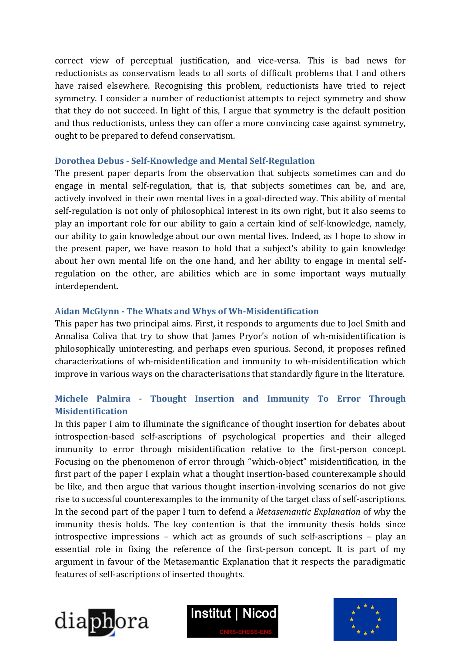correct view of perceptual justification, and vice-versa. This is bad news for reductionists as conservatism leads to all sorts of difficult problems that I and others have raised elsewhere. Recognising this problem, reductionists have tried to reject symmetry. I consider a number of reductionist attempts to reject symmetry and show that they do not succeed. In light of this, I argue that symmetry is the default position and thus reductionists, unless they can offer a more convincing case against symmetry, ought to be prepared to defend conservatism.

#### **Dorothea Debus - Self-Knowledge and Mental Self-Regulation**

The present paper departs from the observation that subjects sometimes can and do engage in mental self-regulation, that is, that subjects sometimes can be, and are, actively involved in their own mental lives in a goal-directed way. This ability of mental self-regulation is not only of philosophical interest in its own right, but it also seems to play an important role for our ability to gain a certain kind of self-knowledge, namely, our ability to gain knowledge about our own mental lives. Indeed, as I hope to show in the present paper, we have reason to hold that a subject's ability to gain knowledge about her own mental life on the one hand, and her ability to engage in mental selfregulation on the other, are abilities which are in some important ways mutually interdependent.

## **Aidan McGlynn - The Whats and Whys of Wh-Misidentification**

This paper has two principal aims. First, it responds to arguments due to Joel Smith and Annalisa Coliva that try to show that James Pryor's notion of wh-misidentification is philosophically uninteresting, and perhaps even spurious. Second, it proposes refined characterizations of wh-misidentification and immunity to wh-misidentification which improve in various ways on the characterisations that standardly figure in the literature.

## **Michele Palmira - Thought Insertion and Immunity To Error Through Misidentification**

In this paper I aim to illuminate the significance of thought insertion for debates about introspection-based self-ascriptions of psychological properties and their alleged immunity to error through misidentification relative to the first-person concept. Focusing on the phenomenon of error through "which-object" misidentification, in the first part of the paper I explain what a thought insertion-based counterexample should be like, and then argue that various thought insertion-involving scenarios do not give rise to successful counterexamples to the immunity of the target class of self-ascriptions. In the second part of the paper I turn to defend a *Metasemantic Explanation* of why the immunity thesis holds. The key contention is that the immunity thesis holds since introspective impressions – which act as grounds of such self-ascriptions – play an essential role in fixing the reference of the first-person concept. It is part of my argument in favour of the Metasemantic Explanation that it respects the paradigmatic features of self-ascriptions of inserted thoughts.